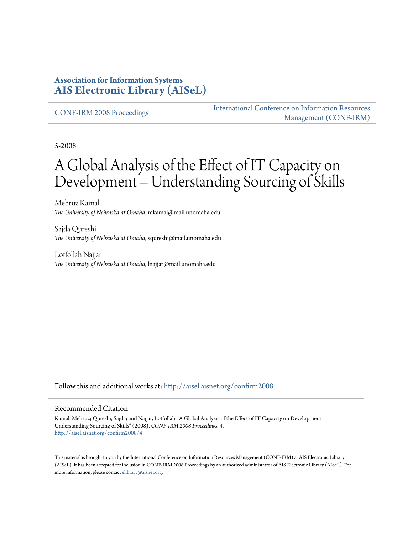#### **Association for Information Systems [AIS Electronic Library \(AISeL\)](http://aisel.aisnet.org?utm_source=aisel.aisnet.org%2Fconfirm2008%2F4&utm_medium=PDF&utm_campaign=PDFCoverPages)**

[CONF-IRM 2008 Proceedings](http://aisel.aisnet.org/confirm2008?utm_source=aisel.aisnet.org%2Fconfirm2008%2F4&utm_medium=PDF&utm_campaign=PDFCoverPages)

[International Conference on Information Resources](http://aisel.aisnet.org/conf-irm?utm_source=aisel.aisnet.org%2Fconfirm2008%2F4&utm_medium=PDF&utm_campaign=PDFCoverPages) [Management \(CONF-IRM\)](http://aisel.aisnet.org/conf-irm?utm_source=aisel.aisnet.org%2Fconfirm2008%2F4&utm_medium=PDF&utm_campaign=PDFCoverPages)

5-2008

# A Global Analysis of the Effect of IT Capacity on Development – Understanding Sourcing of Skills

Mehruz Kamal *The University of Nebraska at Omaha*, mkamal@mail.unomaha.edu

Sajda Qureshi *The University of Nebraska at Omaha*, squreshi@mail.unomaha.edu

Lotfollah Najjar *The University of Nebraska at Omaha*, lnajjar@mail.unomaha.edu

Follow this and additional works at: [http://aisel.aisnet.org/confirm2008](http://aisel.aisnet.org/confirm2008?utm_source=aisel.aisnet.org%2Fconfirm2008%2F4&utm_medium=PDF&utm_campaign=PDFCoverPages)

#### Recommended Citation

Kamal, Mehruz; Qureshi, Sajda; and Najjar, Lotfollah, "A Global Analysis of the Effect of IT Capacity on Development – Understanding Sourcing of Skills" (2008). *CONF-IRM 2008 Proceedings*. 4. [http://aisel.aisnet.org/confirm2008/4](http://aisel.aisnet.org/confirm2008/4?utm_source=aisel.aisnet.org%2Fconfirm2008%2F4&utm_medium=PDF&utm_campaign=PDFCoverPages)

This material is brought to you by the International Conference on Information Resources Management (CONF-IRM) at AIS Electronic Library (AISeL). It has been accepted for inclusion in CONF-IRM 2008 Proceedings by an authorized administrator of AIS Electronic Library (AISeL). For more information, please contact [elibrary@aisnet.org.](mailto:elibrary@aisnet.org%3E)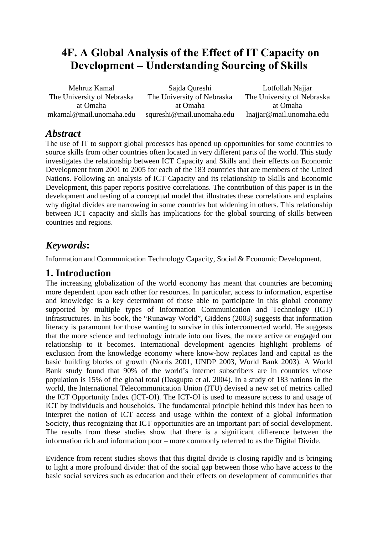# **4F. A Global Analysis of the Effect of IT Capacity on Development – Understanding Sourcing of Skills**

| Mehruz Kamal               | Sajda Qureshi              | Lotfollah Najjar           |
|----------------------------|----------------------------|----------------------------|
| The University of Nebraska | The University of Nebraska | The University of Nebraska |
| at Omaha                   | at Omaha                   | at Omaha                   |
| mkamal@mail.unomaha.edu    | squreshi@mail.unomaha.edu  | In aijar@mail. unomaha.edu |

### *Abstract*

The use of IT to support global processes has opened up opportunities for some countries to source skills from other countries often located in very different parts of the world. This study investigates the relationship between ICT Capacity and Skills and their effects on Economic Development from 2001 to 2005 for each of the 183 countries that are members of the United Nations. Following an analysis of ICT Capacity and its relationship to Skills and Economic Development, this paper reports positive correlations. The contribution of this paper is in the development and testing of a conceptual model that illustrates these correlations and explains why digital divides are narrowing in some countries but widening in others. This relationship between ICT capacity and skills has implications for the global sourcing of skills between countries and regions.

# *Keywords***:**

Information and Communication Technology Capacity, Social & Economic Development.

### **1. Introduction**

The increasing globalization of the world economy has meant that countries are becoming more dependent upon each other for resources. In particular, access to information, expertise and knowledge is a key determinant of those able to participate in this global economy supported by multiple types of Information Communication and Technology (ICT) infrastructures. In his book, the "Runaway World", Giddens (2003) suggests that information literacy is paramount for those wanting to survive in this interconnected world. He suggests that the more science and technology intrude into our lives, the more active or engaged our relationship to it becomes. International development agencies highlight problems of exclusion from the knowledge economy where know-how replaces land and capital as the basic building blocks of growth (Norris 2001, UNDP 2003, World Bank 2003). A World Bank study found that 90% of the world's internet subscribers are in countries whose population is 15% of the global total (Dasgupta et al. 2004). In a study of 183 nations in the world, the International Telecommunication Union (ITU) devised a new set of metrics called the ICT Opportunity Index (ICT-OI). The ICT-OI is used to measure access to and usage of ICT by individuals and households. The fundamental principle behind this index has been to interpret the notion of ICT access and usage within the context of a global Information Society, thus recognizing that ICT opportunities are an important part of social development. The results from these studies show that there is a significant difference between the information rich and information poor – more commonly referred to as the Digital Divide.

Evidence from recent studies shows that this digital divide is closing rapidly and is bringing to light a more profound divide: that of the social gap between those who have access to the basic social services such as education and their effects on development of communities that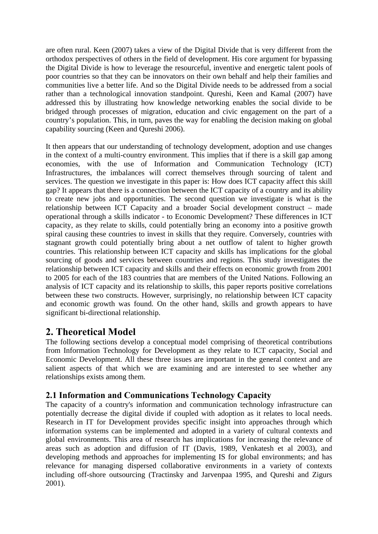are often rural. Keen (2007) takes a view of the Digital Divide that is very different from the orthodox perspectives of others in the field of development. His core argument for bypassing the Digital Divide is how to leverage the resourceful, inventive and energetic talent pools of poor countries so that they can be innovators on their own behalf and help their families and communities live a better life. And so the Digital Divide needs to be addressed from a social rather than a technological innovation standpoint. Qureshi, Keen and Kamal (2007) have addressed this by illustrating how knowledge networking enables the social divide to be bridged through processes of migration, education and civic engagement on the part of a country's population. This, in turn, paves the way for enabling the decision making on global capability sourcing (Keen and Qureshi 2006).

It then appears that our understanding of technology development, adoption and use changes in the context of a multi-country environment. This implies that if there is a skill gap among economies, with the use of Information and Communication Technology (ICT) Infrastructures, the imbalances will correct themselves through sourcing of talent and services. The question we investigate in this paper is: How does ICT capacity affect this skill gap? It appears that there is a connection between the ICT capacity of a country and its ability to create new jobs and opportunities. The second question we investigate is what is the relationship between ICT Capacity and a broader Social development construct – made operational through a skills indicator - to Economic Development? These differences in ICT capacity, as they relate to skills, could potentially bring an economy into a positive growth spiral causing these countries to invest in skills that they require. Conversely, countries with stagnant growth could potentially bring about a net outflow of talent to higher growth countries. This relationship between ICT capacity and skills has implications for the global sourcing of goods and services between countries and regions. This study investigates the relationship between ICT capacity and skills and their effects on economic growth from 2001 to 2005 for each of the 183 countries that are members of the United Nations. Following an analysis of ICT capacity and its relationship to skills, this paper reports positive correlations between these two constructs. However, surprisingly, no relationship between ICT capacity and economic growth was found. On the other hand, skills and growth appears to have significant bi-directional relationship.

### **2. Theoretical Model**

The following sections develop a conceptual model comprising of theoretical contributions from Information Technology for Development as they relate to ICT capacity, Social and Economic Development. All these three issues are important in the general context and are salient aspects of that which we are examining and are interested to see whether any relationships exists among them.

#### **2.1 Information and Communications Technology Capacity**

The capacity of a country's information and communication technology infrastructure can potentially decrease the digital divide if coupled with adoption as it relates to local needs. Research in IT for Development provides specific insight into approaches through which information systems can be implemented and adopted in a variety of cultural contexts and global environments. This area of research has implications for increasing the relevance of areas such as adoption and diffusion of IT (Davis, 1989, Venkatesh et al 2003), and developing methods and approaches for implementing IS for global environments; and has relevance for managing dispersed collaborative environments in a variety of contexts including off-shore outsourcing (Tractinsky and Jarvenpaa 1995, and Qureshi and Zigurs 2001).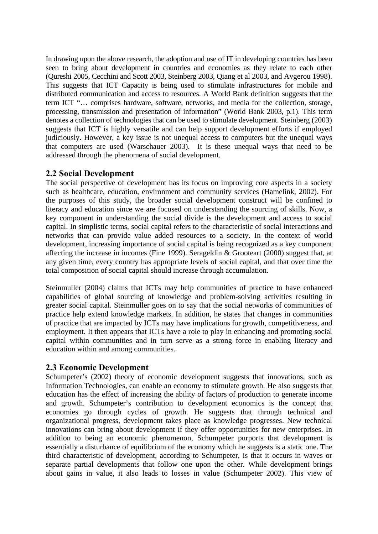In drawing upon the above research, the adoption and use of IT in developing countries has been seen to bring about development in countries and economies as they relate to each other (Qureshi 2005, Cecchini and Scott 2003, Steinberg 2003, Qiang et al 2003, and Avgerou 1998). This suggests that ICT Capacity is being used to stimulate infrastructures for mobile and distributed communication and access to resources. A World Bank definition suggests that the term ICT "… comprises hardware, software, networks, and media for the collection, storage, processing, transmission and presentation of information" (World Bank 2003, p.1). This term denotes a collection of technologies that can be used to stimulate development. Steinberg (2003) suggests that ICT is highly versatile and can help support development efforts if employed judiciously. However, a key issue is not unequal access to computers but the unequal ways that computers are used (Warschauer 2003). It is these unequal ways that need to be addressed through the phenomena of social development.

#### **2.2 Social Development**

The social perspective of development has its focus on improving core aspects in a society such as healthcare, education, environment and community services (Hamelink, 2002). For the purposes of this study, the broader social development construct will be confined to literacy and education since we are focused on understanding the sourcing of skills. Now, a key component in understanding the social divide is the development and access to social capital. In simplistic terms, social capital refers to the characteristic of social interactions and networks that can provide value added resources to a society. In the context of world development, increasing importance of social capital is being recognized as a key component affecting the increase in incomes (Fine 1999). Serageldin & Grooteart (2000) suggest that, at any given time, every country has appropriate levels of social capital, and that over time the total composition of social capital should increase through accumulation.

Steinmuller (2004) claims that ICTs may help communities of practice to have enhanced capabilities of global sourcing of knowledge and problem-solving activities resulting in greater social capital. Steinmuller goes on to say that the social networks of communities of practice help extend knowledge markets. In addition, he states that changes in communities of practice that are impacted by ICTs may have implications for growth, competitiveness, and employment. It then appears that ICTs have a role to play in enhancing and promoting social capital within communities and in turn serve as a strong force in enabling literacy and education within and among communities.

#### **2.3 Economic Development**

Schumpeter's (2002) theory of economic development suggests that innovations, such as Information Technologies, can enable an economy to stimulate growth. He also suggests that education has the effect of increasing the ability of factors of production to generate income and growth. Schumpeter's contribution to development economics is the concept that economies go through cycles of growth. He suggests that through technical and organizational progress, development takes place as knowledge progresses. New technical innovations can bring about development if they offer opportunities for new enterprises. In addition to being an economic phenomenon, Schumpeter purports that development is essentially a disturbance of equilibrium of the economy which he suggests is a static one. The third characteristic of development, according to Schumpeter, is that it occurs in waves or separate partial developments that follow one upon the other. While development brings about gains in value, it also leads to losses in value (Schumpeter 2002). This view of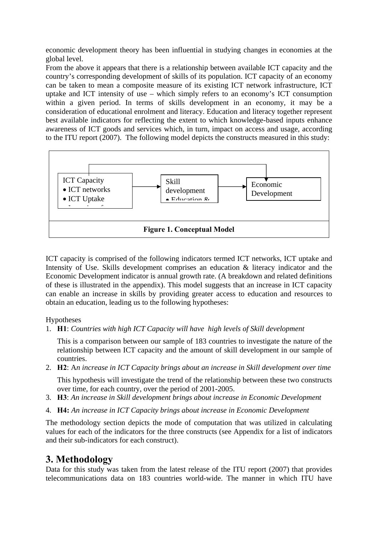economic development theory has been influential in studying changes in economies at the global level.

From the above it appears that there is a relationship between available ICT capacity and the country's corresponding development of skills of its population. ICT capacity of an economy can be taken to mean a composite measure of its existing ICT network infrastructure, ICT uptake and ICT intensity of use – which simply refers to an economy's ICT consumption within a given period. In terms of skills development in an economy, it may be a consideration of educational enrolment and literacy. Education and literacy together represent best available indicators for reflecting the extent to which knowledge-based inputs enhance awareness of ICT goods and services which, in turn, impact on access and usage, according to the ITU report (2007). The following model depicts the constructs measured in this study:



ICT capacity is comprised of the following indicators termed ICT networks, ICT uptake and Intensity of Use. Skills development comprises an education & literacy indicator and the Economic Development indicator is annual growth rate. (A breakdown and related definitions of these is illustrated in the appendix). This model suggests that an increase in ICT capacity can enable an increase in skills by providing greater access to education and resources to obtain an education, leading us to the following hypotheses:

Hypotheses

1. **H1**: *Countries with high ICT Capacity will have high levels of Skill development* 

This is a comparison between our sample of 183 countries to investigate the nature of the relationship between ICT capacity and the amount of skill development in our sample of countries.

2. **H2**: A*n increase in ICT Capacity brings about an increase in Skill development over time* 

This hypothesis will investigate the trend of the relationship between these two constructs over time, for each country, over the period of 2001-2005.

- 3. **H3**: *An increase in Skill development brings about increase in Economic Development*
- 4. **H4:** *An increase in ICT Capacity brings about increase in Economic Development*

The methodology section depicts the mode of computation that was utilized in calculating values for each of the indicators for the three constructs (see Appendix for a list of indicators and their sub-indicators for each construct).

## **3. Methodology**

Data for this study was taken from the latest release of the ITU report (2007) that provides telecommunications data on 183 countries world-wide. The manner in which ITU have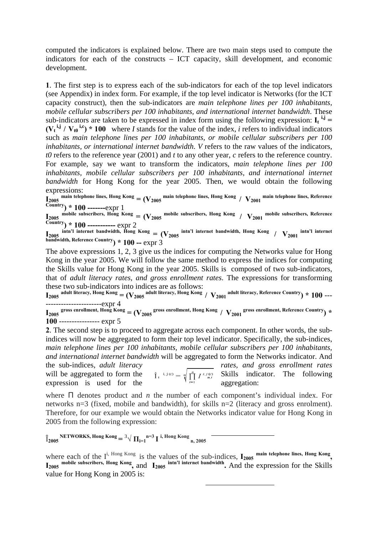computed the indicators is explained below. There are two main steps used to compute the indicators for each of the constructs – ICT capacity, skill development, and economic development.

**1**. The first step is to express each of the sub-indicators for each of the top level indicators (see Appendix) in index form. For example, if the top level indicator is Networks (for the ICT capacity construct), then the sub-indicators are *main telephone lines per 100 inhabitants, mobile cellular subscribers per 100 inhabitants, and international internet bandwidth*. These sub-indicators are taken to be expressed in index form using the following expression:  $I_t$ <sup>i,j</sup> =  $(V_t^{i,j} / V_{t0}^{i,c})$  \* 100 where *I* stands for the value of the index, *i* refers to individual indicators such as *main telephone lines per 100 inhabitants, or mobile cellular subscribers per 100 inhabitants, or international internet bandwidth*. *V* refers to the raw values of the indicators, *t0* refers to the reference year (2001) and *t* to any other year, *c* refers to the reference country. For example, say we want to transform the indicators, *main telephone lines per 100 inhabitants, mobile cellular subscribers per 100 inhabitants, and international internet bandwidth* for Hong Kong for the year 2005. Then, we would obtain the following expressions:

 $\mathbf{I}_{2005}$  main telephone lines, Hong Kong =  $(\mathrm{V}_{2005}$  main telephone lines, Hong Kong /  $\mathrm{V}_{2001}$  main telephone lines, Reference **Country) \* 100 -------**expr 1

 $I_{2005}$  mobile subscribers, Hong Kong =  $(V_{2005}$  mobile subscribers, Hong Kong /  $V_{2001}$  mobile subscribers, Reference **Country) \* 100 -----------** expr 2

 $I_{2005}$  intn'l internet bandwidth, Hong Kong =  $(V_{2005}$  intn'l internet bandwidth, Hong Kong /  $V_{2001}$  intn'l internet **bandwidth, Reference Country) \* 100 --** expr 3

The above expressions 1, 2, 3 give us the indices for computing the Networks value for Hong Kong in the year 2005. We will follow the same method to express the indices for computing the Skills value for Hong Kong in the year 2005. Skills is composed of two sub-indicators, that of *adult literacy rates, and gross enrollment rates*. The expressions for transforming these two sub-indicators into indices are as follows:

 ${\bf I_{2005}}$  adult literacy, Hong Kong  $={\bf (V_{2005}}$  adult literacy, Hong Kong /  ${\bf V_{2001}}$  adult literacy, Reference Country) \*  $100$  -------------------------expr 4

 ${\bf I_{2005}}$  gross enrollment, Hong Kong  $=$   $({\bf V_{2005}}$  gross enrollment, Hong Kong  $/$   ${\bf V_{2001}}$  gross enrollment, Reference Country<sub>)</sub>  $\ast$ **100** ---------------- expr 5

**2**. The second step is to proceed to aggregate across each component. In other words, the subindices will now be aggregated to form their top level indicator. Specifically, the sub-indices, *main telephone lines per 100 inhabitants, mobile cellular subscribers per 100 inhabitants, and international internet bandwidth* will be aggregated to form the Networks indicator. And the sub-indices, *adult literacy rates, and gross enrollment rates* 

expression is used for the  $\frac{1}{i}$  aggregation:

will be aggregated to form the  $\hat{I}_{t}^{i,j} = \frac{n}{n} \prod_{i=1}^{n} I^{i,j} e^{j}$  Skills indicator. The following

where Π denotes product and *n* the number of each component's individual index. For networks n=3 (fixed, mobile and bandwidth), for skills n=2 (literacy and gross enrolment). Therefore, for our example we would obtain the Networks indicator value for Hong Kong in 2005 from the following expression:

 $\hat{I}_{2005}$  NETWORKS, Hong Kong  $=$  3 $\sqrt{\Pi_{i=1}}$ n=3 I <sup>i, Hong</sup> Kong <sub>n, 2005</sub>

where each of the  $I^i$ , Hong Kong is the values of the sub-indices,  $I_{2005}$  main telephone lines, Hong Kong, **I2005 mobile subscribers, Hong Kong,** and **I2005 intn'l internet bandwidth.** And the expression for the Skills value for Hong Kong in 2005 is: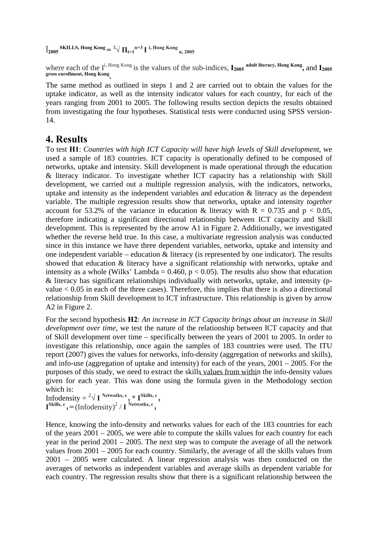$\hat{I}_{2005}$ **SKILLS, Hong Kong** =  $\frac{3}{\sqrt{\prod_{i=1} n}} = 3 \prod_{i} i$ , Hong Kong <sub>n, 2005</sub>

where each of the I<sup>i, Hong Kong</sup> is the values of the sub-indices,  $I_{2005}$  adult literacy, Hong Kong, and  $I_{2005}$ **gross enrollment, Hong Kong.**

The same method as outlined in steps 1 and 2 are carried out to obtain the values for the uptake indicator, as well as the intensity indicator values for each country, for each of the years ranging from 2001 to 2005. The following results section depicts the results obtained from investigating the four hypotheses. Statistical tests were conducted using SPSS version-14.

### **4. Results**

To test **H1**: *Countries with high ICT Capacity will have high levels of Skill development*, we used a sample of 183 countries. ICT capacity is operationally defined to be composed of networks, uptake and intensity. Skill development is made operational through the education & literacy indicator. To investigate whether ICT capacity has a relationship with Skill development, we carried out a multiple regression analysis, with the indicators, networks, uptake and intensity as the independent variables and education & literacy as the dependent variable. The multiple regression results show that networks, uptake and intensity *together* account for 53.2% of the variance in education & literacy with  $R = 0.735$  and  $p < 0.05$ , therefore indicating a significant directional relationship between ICT capacity and Skill development. This is represented by the arrow A1 in Figure 2. Additionally, we investigated whether the reverse held true. In this case, a multivariate regression analysis was conducted since in this instance we have three dependent variables, networks, uptake and intensity and one independent variable – education  $\&$  literacy (is represented by one indicator). The results showed that education & literacy have a significant relationship with networks, uptake and intensity as a whole (Wilks' Lambda =  $0.460$ ,  $p < 0.05$ ). The results also show that education & literacy has significant relationships individually with networks, uptake, and intensity (pvalue  $< 0.05$  in each of the three cases). Therefore, this implies that there is also a directional relationship from Skill development to ICT infrastructure. This relationship is given by arrow A2 in Figure 2.

For the second hypothesis **H2**: *An increase in ICT Capacity brings about an increase in Skill development over time,* we test the nature of the relationship between ICT capacity and that of Skill development over time – specifically between the years of 2001 to 2005. In order to investigate this relationship, once again the samples of 183 countries were used. The ITU report (2007) gives the values for networks, info-density (aggregation of networks and skills), and info-use (aggregation of uptake and intensity) for each of the years, 2001 – 2005. For the purposes of this study, we need to extract the skills values from within the info-density values given for each year. This was done using the formula given in the Methodology section which is:

Infodensity  $=$   $2\sqrt{I}$  Netwotks, c<sub>t</sub> \* I<sup>Skills, c<sub>t</sub></sup>  $\mathbf{I}^{\text{Skills, c}}$  **t** = (Infodensity)<sup>2</sup> / **I** <sup>Netwotks, c **t**</sup>

Hence, knowing the info-density and networks values for each of the 183 countries for each of the years 2001 – 2005, we were able to compute the skills values for each country for each year in the period 2001 – 2005. The next step was to compute the average of all the network values from 2001 – 2005 for each country. Similarly, the average of all the skills values from 2001 – 2005 were calculated. A linear regression analysis was then conducted on the averages of networks as independent variables and average skills as dependent variable for each country. The regression results show that there is a significant relationship between the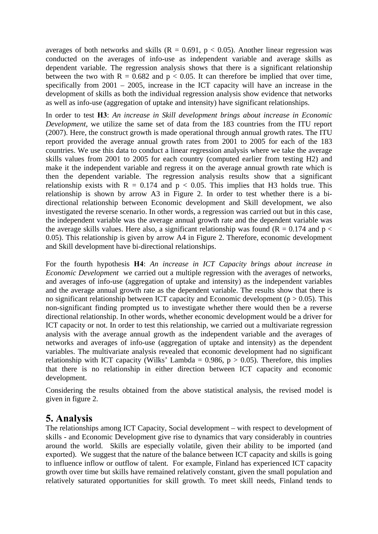averages of both networks and skills ( $R = 0.691$ ,  $p < 0.05$ ). Another linear regression was conducted on the averages of info-use as independent variable and average skills as dependent variable. The regression analysis shows that there is a significant relationship between the two with  $R = 0.682$  and  $p < 0.05$ . It can therefore be implied that over time, specifically from 2001 – 2005, increase in the ICT capacity will have an increase in the development of skills as both the individual regression analysis show evidence that networks as well as info-use (aggregation of uptake and intensity) have significant relationships.

In order to test **H3**: *An increase in Skill development brings about increase in Economic Development*, we utilize the same set of data from the 183 countries from the ITU report (2007). Here, the construct growth is made operational through annual growth rates. The ITU report provided the average annual growth rates from 2001 to 2005 for each of the 183 countries. We use this data to conduct a linear regression analysis where we take the average skills values from 2001 to 2005 for each country (computed earlier from testing H2) and make it the independent variable and regress it on the average annual growth rate which is then the dependent variable. The regression analysis results show that a significant relationship exists with  $R = 0.174$  and  $p < 0.05$ . This implies that H3 holds true. This relationship is shown by arrow A3 in Figure 2. In order to test whether there is a bidirectional relationship between Economic development and Skill development, we also investigated the reverse scenario. In other words, a regression was carried out but in this case, the independent variable was the average annual growth rate and the dependent variable was the average skills values. Here also, a significant relationship was found ( $R = 0.174$  and  $p <$ 0.05). This relationship is given by arrow A4 in Figure 2. Therefore, economic development and Skill development have bi-directional relationships.

For the fourth hypothesis **H4**: *An increase in ICT Capacity brings about increase in Economic Development* we carried out a multiple regression with the averages of networks, and averages of info-use (aggregation of uptake and intensity) as the independent variables and the average annual growth rate as the dependent variable. The results show that there is no significant relationship between ICT capacity and Economic development ( $p > 0.05$ ). This non-significant finding prompted us to investigate whether there would then be a reverse directional relationship. In other words, whether economic development would be a driver for ICT capacity or not. In order to test this relationship, we carried out a multivariate regression analysis with the average annual growth as the independent variable and the averages of networks and averages of info-use (aggregation of uptake and intensity) as the dependent variables. The multivariate analysis revealed that economic development had no significant relationship with ICT capacity (Wilks' Lambda =  $0.986$ ,  $p > 0.05$ ). Therefore, this implies that there is no relationship in either direction between ICT capacity and economic development.

Considering the results obtained from the above statistical analysis, the revised model is given in figure 2.

### **5. Analysis**

The relationships among ICT Capacity, Social development – with respect to development of skills - and Economic Development give rise to dynamics that vary considerably in countries around the world. Skills are especially volatile, given their ability to be imported (and exported). We suggest that the nature of the balance between ICT capacity and skills is going to influence inflow or outflow of talent. For example, Finland has experienced ICT capacity growth over time but skills have remained relatively constant, given the small population and relatively saturated opportunities for skill growth. To meet skill needs, Finland tends to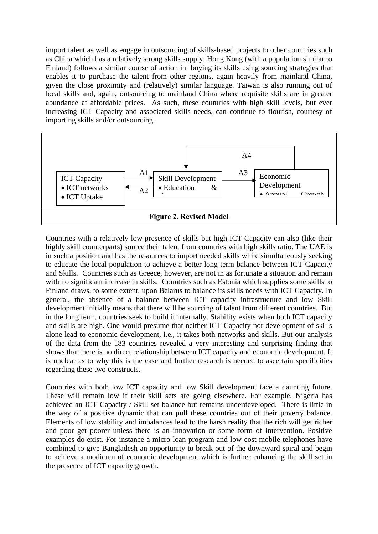import talent as well as engage in outsourcing of skills-based projects to other countries such as China which has a relatively strong skills supply. Hong Kong (with a population similar to Finland) follows a similar course of action in buying its skills using sourcing strategies that enables it to purchase the talent from other regions, again heavily from mainland China, given the close proximity and (relatively) similar language. Taiwan is also running out of local skills and, again, outsourcing to mainland China where requisite skills are in greater abundance at affordable prices. As such, these countries with high skill levels, but ever increasing ICT Capacity and associated skills needs, can continue to flourish, courtesy of importing skills and/or outsourcing.



Countries with a relatively low presence of skills but high ICT Capacity can also (like their highly skill counterparts) source their talent from countries with high skills ratio. The UAE is in such a position and has the resources to import needed skills while simultaneously seeking to educate the local population to achieve a better long term balance between ICT Capacity and Skills. Countries such as Greece, however, are not in as fortunate a situation and remain with no significant increase in skills. Countries such as Estonia which supplies some skills to Finland draws, to some extent, upon Belarus to balance its skills needs with ICT Capacity. In general, the absence of a balance between ICT capacity infrastructure and low Skill development initially means that there will be sourcing of talent from different countries. But in the long term, countries seek to build it internally. Stability exists when both ICT capacity and skills are high. One would presume that neither ICT Capacity nor development of skills alone lead to economic development, i.e., it takes both networks and skills. But our analysis of the data from the 183 countries revealed a very interesting and surprising finding that shows that there is no direct relationship between ICT capacity and economic development. It is unclear as to why this is the case and further research is needed to ascertain specificities regarding these two constructs.

Countries with both low ICT capacity and low Skill development face a daunting future. These will remain low if their skill sets are going elsewhere. For example, Nigeria has achieved an ICT Capacity / Skill set balance but remains underdeveloped. There is little in the way of a positive dynamic that can pull these countries out of their poverty balance. Elements of low stability and imbalances lead to the harsh reality that the rich will get richer and poor get poorer unless there is an innovation or some form of intervention. Positive examples do exist. For instance a micro-loan program and low cost mobile telephones have combined to give Bangladesh an opportunity to break out of the downward spiral and begin to achieve a modicum of economic development which is further enhancing the skill set in the presence of ICT capacity growth.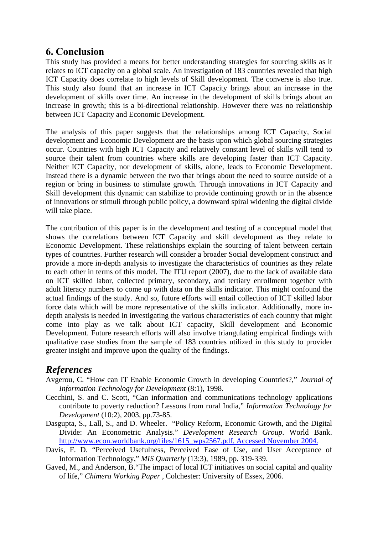### **6. Conclusion**

This study has provided a means for better understanding strategies for sourcing skills as it relates to ICT capacity on a global scale. An investigation of 183 countries revealed that high ICT Capacity does correlate to high levels of Skill development. The converse is also true. This study also found that an increase in ICT Capacity brings about an increase in the development of skills over time. An increase in the development of skills brings about an increase in growth; this is a bi-directional relationship. However there was no relationship between ICT Capacity and Economic Development.

The analysis of this paper suggests that the relationships among ICT Capacity, Social development and Economic Development are the basis upon which global sourcing strategies occur. Countries with high ICT Capacity and relatively constant level of skills will tend to source their talent from countries where skills are developing faster than ICT Capacity. Neither ICT Capacity, nor development of skills, alone, leads to Economic Development. Instead there is a dynamic between the two that brings about the need to source outside of a region or bring in business to stimulate growth. Through innovations in ICT Capacity and Skill development this dynamic can stabilize to provide continuing growth or in the absence of innovations or stimuli through public policy, a downward spiral widening the digital divide will take place.

The contribution of this paper is in the development and testing of a conceptual model that shows the correlations between ICT Capacity and skill development as they relate to Economic Development. These relationships explain the sourcing of talent between certain types of countries. Further research will consider a broader Social development construct and provide a more in-depth analysis to investigate the characteristics of countries as they relate to each other in terms of this model. The ITU report (2007), due to the lack of available data on ICT skilled labor, collected primary, secondary, and tertiary enrollment together with adult literacy numbers to come up with data on the skills indicator. This might confound the actual findings of the study. And so, future efforts will entail collection of ICT skilled labor force data which will be more representative of the skills indicator. Additionally, more indepth analysis is needed in investigating the various characteristics of each country that might come into play as we talk about ICT capacity, Skill development and Economic Development. Future research efforts will also involve triangulating empirical findings with qualitative case studies from the sample of 183 countries utilized in this study to provider greater insight and improve upon the quality of the findings.

### *References*

- Avgerou, C. "How can IT Enable Economic Growth in developing Countries?," *Journal of Information Technology for Development* (8:1), 1998.
- Cecchini, S. and C. Scott, "Can information and communications technology applications contribute to poverty reduction? Lessons from rural India," *Information Technology for Development* (10:2), 2003, pp.73-85.
- Dasgupta, S., Lall, S., and D. Wheeler. "Policy Reform, Economic Growth, and the Digital Divide: An Econometric Analysis." *Development Research Group*. World Bank. http://www.econ.worldbank.org/files/1615\_wps2567.pdf. Accessed November 2004.
- Davis, F. D. "Perceived Usefulness, Perceived Ease of Use, and User Acceptance of Information Technology," *MIS Quarterly* (13:3), 1989, pp. 319-339.
- Gaved, M., and Anderson, B."The impact of local ICT initiatives on social capital and quality of life," *Chimera Working Paper* , Colchester: University of Essex, 2006.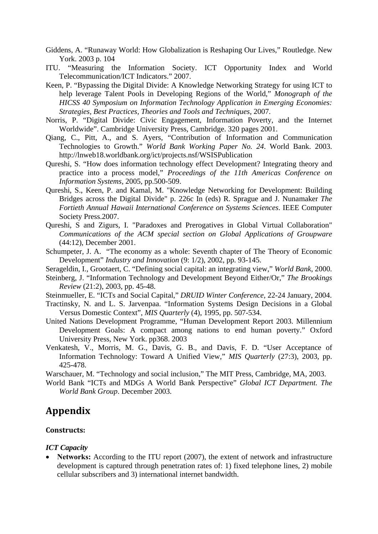- Giddens, A. "Runaway World: How Globalization is Reshaping Our Lives," Routledge. New York. 2003 p. 104
- ITU. "Measuring the Information Society. ICT Opportunity Index and World Telecommunication/ICT Indicators." 2007.
- Keen, P. "Bypassing the Digital Divide: A Knowledge Networking Strategy for using ICT to help leverage Talent Pools in Developing Regions of the World," *Monograph of the HICSS 40 Symposium on Information Technology Application in Emerging Economies: Strategies, Best Practices, Theories and Tools and Techniques*, 2007.
- Norris, P. "Digital Divide: Civic Engagement, Information Poverty, and the Internet Worldwide". Cambridge University Press, Cambridge. 320 pages 2001.
- Qiang, C., Pitt, A., and S. Ayers, "Contribution of Information and Communication Technologies to Growth." *World Bank Working Paper No. 24*. World Bank. 2003. http://lnweb18.worldbank.org/ict/projects.nsf/WSISPublication
- Qureshi, S. "How does information technology effect Development? Integrating theory and practice into a process model," *Proceedings of the 11th Americas Conference on Information Systems*, 2005, pp.500-509.
- Qureshi, S., Keen, P. and Kamal, M. "Knowledge Networking for Development: Building Bridges across the Digital Divide" p. 226c In (eds) R. Sprague and J. Nunamaker *The Fortieth Annual Hawaii International Conference on Systems Sciences*. IEEE Computer Society Press.2007.
- Qureshi, S and Zigurs, I. "Paradoxes and Prerogatives in Global Virtual Collaboration" *Communications of the ACM special section on Global Applications of Groupware* (44:12), December 2001.
- Schumpeter, J. A. "The economy as a whole: Seventh chapter of The Theory of Economic Development" *Industry and Innovation* (9: 1/2), 2002, pp. 93-145.
- Serageldin, I., Grootaert, C. "Defining social capital: an integrating view," *World Bank*, 2000.
- Steinberg, J. "Information Technology and Development Beyond Either/Or," *The Brookings Review* (21:2), 2003, pp. 45-48.
- Steinmueller, E. "ICTs and Social Capital," *DRUID Winter Conference*, 22-24 January, 2004.
- Tractinsky, N. and L. S. Jarvenpaa. "Information Systems Design Decisions in a Global Versus Domestic Context", *MIS Quarterly* (4), 1995, pp. 507-534.
- United Nations Development Programme, "Human Development Report 2003. Millennium Development Goals: A compact among nations to end human poverty." Oxford University Press, New York. pp368. 2003
- Venkatesh, V., Morris, M. G., Davis, G. B., and Davis, F. D. "User Acceptance of Information Technology: Toward A Unified View," *MIS Quarterly* (27:3), 2003, pp. 425-478.

Warschauer, M. "Technology and social inclusion," The MIT Press, Cambridge, MA, 2003.

World Bank "ICTs and MDGs A World Bank Perspective" *Global ICT Department. The World Bank Group*. December 2003.

### **Appendix**

#### **Constructs:**

#### *ICT Capacity*

• **Networks:** According to the ITU report (2007), the extent of network and infrastructure development is captured through penetration rates of: 1) fixed telephone lines, 2) mobile cellular subscribers and 3) international internet bandwidth.